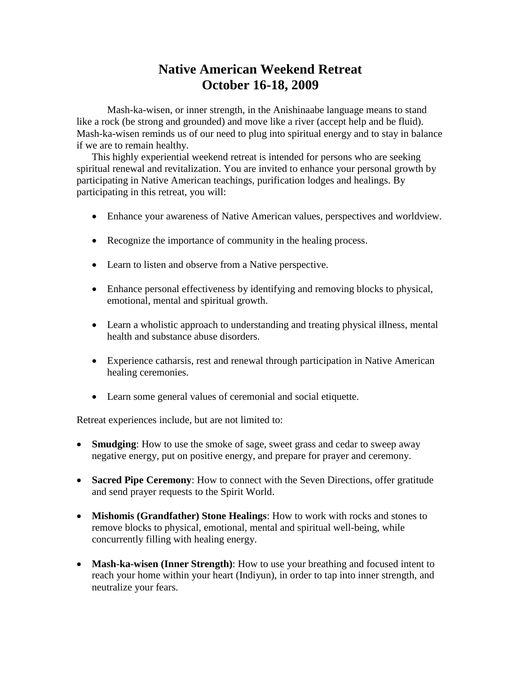## **Native American Weekend Retreat October 16-18, 2009**

Mash-ka-wisen, or inner strength, in the Anishinaabe language means to stand like a rock (be strong and grounded) and move like a river (accept help and be fluid). Mash-ka-wisen reminds us of our need to plug into spiritual energy and to stay in balance if we are to remain healthy.

This highly experiential weekend retreat is intended for persons who are seeking spiritual renewal and revitalization. You are invited to enhance your personal growth by participating in Native American teachings, purification lodges and healings. By participating in this retreat, you will:

- Enhance your awareness of Native American values, perspectives and worldview.
- Recognize the importance of community in the healing process.
- Learn to listen and observe from a Native perspective.
- Enhance personal effectiveness by identifying and removing blocks to physical, emotional, mental and spiritual growth.
- Learn a wholistic approach to understanding and treating physical illness, mental health and substance abuse disorders.
- Experience catharsis, rest and renewal through participation in Native American healing ceremonies.
- Learn some general values of ceremonial and social etiquette.

Retreat experiences include, but are not limited to:

- **Smudging**: How to use the smoke of sage, sweet grass and cedar to sweep away negative energy, put on positive energy, and prepare for prayer and ceremony.
- **Sacred Pipe Ceremony**: How to connect with the Seven Directions, offer gratitude and send prayer requests to the Spirit World.
- **Mishomis (Grandfather) Stone Healings**: How to work with rocks and stones to remove blocks to physical, emotional, mental and spiritual well-being, while concurrently filling with healing energy.
- **Mash-ka-wisen (Inner Strength)**: How to use your breathing and focused intent to reach your home within your heart (Indiyun), in order to tap into inner strength, and neutralize your fears.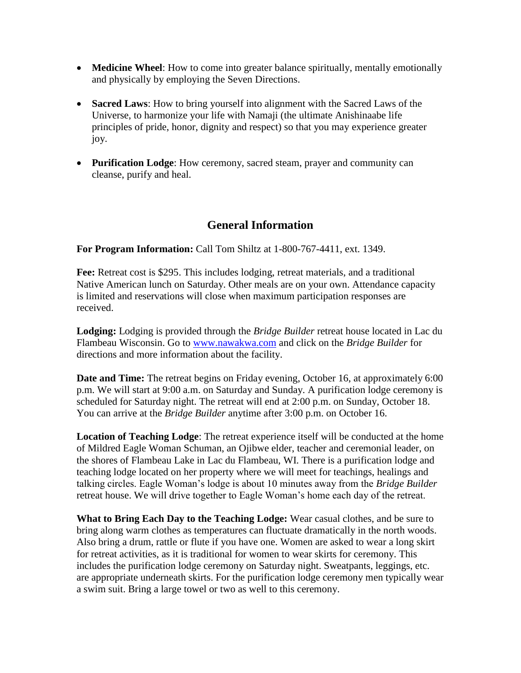- **Medicine Wheel**: How to come into greater balance spiritually, mentally emotionally and physically by employing the Seven Directions.
- **Sacred Laws**: How to bring yourself into alignment with the Sacred Laws of the Universe, to harmonize your life with Namaji (the ultimate Anishinaabe life principles of pride, honor, dignity and respect) so that you may experience greater joy.
- **Purification Lodge**: How ceremony, sacred steam, prayer and community can cleanse, purify and heal.

## **General Information**

**For Program Information:** Call Tom Shiltz at 1-800-767-4411, ext. 1349.

**Fee:** Retreat cost is \$295. This includes lodging, retreat materials, and a traditional Native American lunch on Saturday. Other meals are on your own. Attendance capacity is limited and reservations will close when maximum participation responses are received.

**Lodging:** Lodging is provided through the *Bridge Builder* retreat house located in Lac du Flambeau Wisconsin. Go to [www.nawakwa.com](http://www.nawakwa.com/) and click on the *Bridge Builder* for directions and more information about the facility.

**Date and Time:** The retreat begins on Friday evening, October 16, at approximately 6:00 p.m. We will start at 9:00 a.m. on Saturday and Sunday. A purification lodge ceremony is scheduled for Saturday night. The retreat will end at 2:00 p.m. on Sunday, October 18. You can arrive at the *Bridge Builder* anytime after 3:00 p.m. on October 16.

**Location of Teaching Lodge**: The retreat experience itself will be conducted at the home of Mildred Eagle Woman Schuman, an Ojibwe elder, teacher and ceremonial leader, on the shores of Flambeau Lake in Lac du Flambeau, WI. There is a purification lodge and teaching lodge located on her property where we will meet for teachings, healings and talking circles. Eagle Woman's lodge is about 10 minutes away from the *Bridge Builder* retreat house. We will drive together to Eagle Woman's home each day of the retreat.

**What to Bring Each Day to the Teaching Lodge:** Wear casual clothes, and be sure to bring along warm clothes as temperatures can fluctuate dramatically in the north woods. Also bring a drum, rattle or flute if you have one. Women are asked to wear a long skirt for retreat activities, as it is traditional for women to wear skirts for ceremony. This includes the purification lodge ceremony on Saturday night. Sweatpants, leggings, etc. are appropriate underneath skirts. For the purification lodge ceremony men typically wear a swim suit. Bring a large towel or two as well to this ceremony.